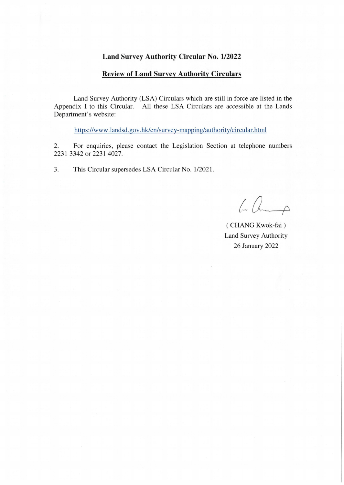## **Land Survey Authority Circular No. 1/2022**

## **Review of Land Survey Authority Circulars**

Land Survey Authority (LSA) Circulars which are still in force are listed in the Appendix I to this Circular. All these LSA Circulars are accessible at the Lands Department's website:

https://www.landsd.gov.hk/en/survey-mapping/authority/circular.htmJ

2. For enquiries, please contact the Legislation Section at telephone numbers 2231 3342 or 2231 4027.

3. This Circular supersedes LSA Circular No. 1/2021.

 $60 - 0$ 

( CHANG Kwok-fai ) Land Survey Authority 26 January 2022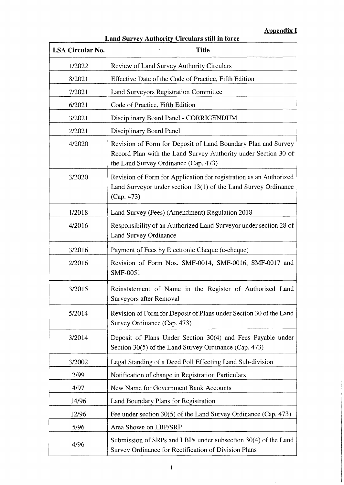## **Appendix I**

| <b>LSA Circular No.</b> | <b>Title</b>                                                                                                                                                            |
|-------------------------|-------------------------------------------------------------------------------------------------------------------------------------------------------------------------|
| 1/2022                  | Review of Land Survey Authority Circulars                                                                                                                               |
| 8/2021                  | Effective Date of the Code of Practice, Fifth Edition                                                                                                                   |
| 7/2021                  | Land Surveyors Registration Committee                                                                                                                                   |
| 6/2021                  | Code of Practice, Fifth Edition                                                                                                                                         |
| 3/2021                  | Disciplinary Board Panel - CORRIGENDUM                                                                                                                                  |
| 2/2021                  | Disciplinary Board Panel                                                                                                                                                |
| 4/2020                  | Revision of Form for Deposit of Land Boundary Plan and Survey<br>Record Plan with the Land Survey Authority under Section 30 of<br>the Land Survey Ordinance (Cap. 473) |
| 3/2020                  | Revision of Form for Application for registration as an Authorized<br>Land Surveyor under section 13(1) of the Land Survey Ordinance<br>(Cap. 473)                      |
| 1/2018                  | Land Survey (Fees) (Amendment) Regulation 2018                                                                                                                          |
| 4/2016                  | Responsibility of an Authorized Land Surveyor under section 28 of<br>Land Survey Ordinance                                                                              |
| 3/2016                  | Payment of Fees by Electronic Cheque (e-cheque)                                                                                                                         |
| 2/2016                  | Revision of Form Nos. SMF-0014, SMF-0016, SMF-0017 and<br>SMF-0051                                                                                                      |
| 3/2015                  | Reinstatement of Name in the Register of Authorized Land<br>Surveyors after Removal                                                                                     |
| 5/2014                  | Revision of Form for Deposit of Plans under Section 30 of the Land<br>Survey Ordinance (Cap. 473)                                                                       |
| 3/2014                  | Deposit of Plans Under Section 30(4) and Fees Payable under<br>Section 30(5) of the Land Survey Ordinance (Cap. 473)                                                    |
| 3/2002                  | Legal Standing of a Deed Poll Effecting Land Sub-division                                                                                                               |
| 2/99                    | Notification of change in Registration Particulars                                                                                                                      |
| 4/97                    | New Name for Government Bank Accounts                                                                                                                                   |
| 14/96                   | Land Boundary Plans for Registration                                                                                                                                    |
| 12/96                   | Fee under section 30(5) of the Land Survey Ordinance (Cap. 473)                                                                                                         |
| 5/96                    | Area Shown on LBP/SRP                                                                                                                                                   |
| 4/96                    | Submission of SRPs and LBPs under subsection 30(4) of the Land<br>Survey Ordinance for Rectification of Division Plans                                                  |

## **Land Survey Authority Circulars still in force**